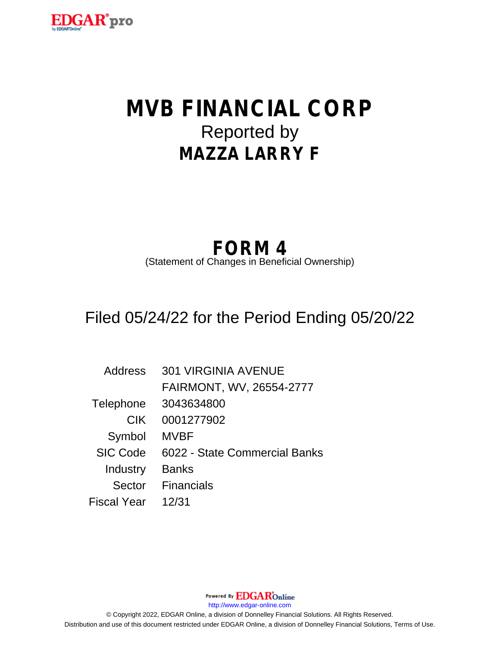

# **MVB FINANCIAL CORP** Reported by **MAZZA LARRY F**

# **FORM 4**

(Statement of Changes in Beneficial Ownership)

## Filed 05/24/22 for the Period Ending 05/20/22

| Address            | <b>301 VIRGINIA AVENUE</b>    |
|--------------------|-------------------------------|
|                    | FAIRMONT, WV, 26554-2777      |
| Telephone          | 3043634800                    |
| <b>CIK</b>         | 0001277902                    |
| Symbol             | <b>MVBF</b>                   |
| <b>SIC Code</b>    | 6022 - State Commercial Banks |
| Industry           | <b>Banks</b>                  |
| Sector             | <b>Financials</b>             |
| <b>Fiscal Year</b> | 12/31                         |

http://www.edgar-online.com © Copyright 2022, EDGAR Online, a division of Donnelley Financial Solutions. All Rights Reserved. Distribution and use of this document restricted under EDGAR Online, a division of Donnelley Financial Solutions, Terms of Use.

Powered By **EDGAR**Online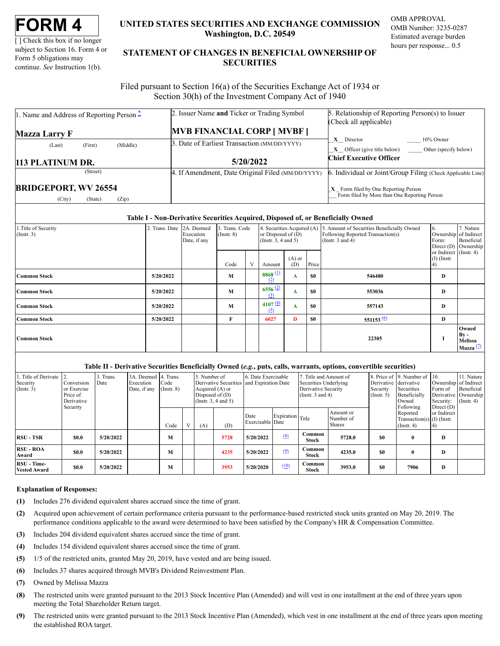[] Check this box if no longer subject to Section 16. Form 4 or Form 5 obligations may continue. See Instruction 1(b).

### UNITED STATES SECURITIES AND EXCHANGE COMMISSION Washington, D.C. 20549

OMB APPROVAL OMB Number: 3235-0287 Estimated average burden hours per response... 0.5

### STATEMENT OF CHANGES IN BENEFICIAL OWNERSHIP OF **SECURITIES**

Filed pursuant to Section 16(a) of the Securities Exchange Act of 1934 or Section 30(h) of the Investment Company Act of 1940

| 1. Name and Address of Reporting Person $\ddot{}$ | 2. Issuer Name and Ticker or Trading Symbol       | 5. Relationship of Reporting Person(s) to Issuer            |  |  |  |
|---------------------------------------------------|---------------------------------------------------|-------------------------------------------------------------|--|--|--|
|                                                   |                                                   | (Check all applicable)                                      |  |  |  |
| Mazza Larry F                                     | <b>MVB FINANCIAL CORP [ MVBF ]</b>                |                                                             |  |  |  |
| (Middle)<br>(First)<br>(Last)                     | 3. Date of Earliest Transaction (MM/DD/YYYY)      | $10\%$ Owner<br>X Director                                  |  |  |  |
|                                                   |                                                   | <b>X</b> Officer (give title below) Other (specify below)   |  |  |  |
|                                                   |                                                   |                                                             |  |  |  |
|                                                   | 5/20/2022                                         | <b>Chief Executive Officer</b>                              |  |  |  |
| 113 PLATINUM DR.<br>(Street)                      | 4. If Amendment, Date Original Filed (MM/DD/YYYY) | 6. Individual or Joint/Group Filing (Check Applicable Line) |  |  |  |

#### Table I - Non-Derivative Securities Acquired, Disposed of, or Beneficially Owned

| 1. Title of Security<br>$($ Instr. 3) | 2. Trans. Date 2A. Deemed | Execution<br>Date, if any | 3. Trans. Code<br>$($ Instr. $8)$ |   | 4. Securities Acquired (A)<br>or Disposed of $(D)$<br>(Instr. $3, 4$ and $5$ ) |                 |           | 5. Amount of Securities Beneficially Owned<br>Following Reported Transaction(s)<br>(Instr. $3$ and $4$ ) | 6.<br>Form:                                   | 7. Nature<br>Ownership of Indirect<br>Beneficial<br>Direct (D) Ownership |
|---------------------------------------|---------------------------|---------------------------|-----------------------------------|---|--------------------------------------------------------------------------------|-----------------|-----------|----------------------------------------------------------------------------------------------------------|-----------------------------------------------|--------------------------------------------------------------------------|
|                                       |                           |                           | Code                              | V | Amount                                                                         | $(A)$ or<br>(D) | Price     |                                                                                                          | or Indirect (Instr. 4)<br>$(I)$ (Instr.<br>4) |                                                                          |
| <b>Common Stock</b>                   | 5/20/2022                 |                           | M                                 |   | $8868$ <sup>(1)</sup><br>(2)                                                   | A               | <b>SO</b> | 546480                                                                                                   | D                                             |                                                                          |
| <b>Common Stock</b>                   | 5/20/2022                 |                           | M                                 |   | $6556\frac{(2)}{2}$<br>(3)                                                     | A               | <b>SO</b> | 553036                                                                                                   | D                                             |                                                                          |
| <b>Common Stock</b>                   | 5/20/2022                 |                           | M                                 |   | 4107(4)<br>(5)                                                                 | A               | <b>SO</b> | 557143                                                                                                   | D                                             |                                                                          |
| <b>Common Stock</b>                   | 5/20/2022                 |                           | F                                 |   | 6027                                                                           | D               | <b>SO</b> | $551153^{(6)}$                                                                                           | D                                             |                                                                          |
| <b>Common Stock</b>                   |                           |                           |                                   |   |                                                                                |                 |           | 22305                                                                                                    |                                               | Owned<br>$By -$<br>Melissa<br>Mazza $(2)$                                |

#### Table II - Derivative Securities Beneficially Owned (e.g., puts, calls, warrants, options, convertible securities)

| 1. Title of Derivate 1<br>Security<br>$($ Instr. 3) | Conversion<br>or Exercise<br>Price of<br>Derivative<br>Security | 3. Trans.<br>Date | 3A. Deemed 4. Trans.<br>Execution<br>Date, if any | Code<br>$($ Instr. $8)$ | 5. Number of<br>Derivative Securities and Expiration Date<br>Acquired $(A)$ or<br>Disposed of $(D)$<br>(Insert. 3, 4 and 5) |                          | 6. Date Exercisable |      | . Title and Amount of<br>Securities Underlying<br>Derivative Security<br>(Instr. $3$ and $4$ ) |        | Derivative derivative<br>Security<br>$($ Instr. 5 $)$        | 8. Price of 19. Number of 10.<br>Securities<br>Beneficially<br>Owned<br>Following | Ownership of Indirect<br>Form of<br>Derivative Ownership<br>Security:<br>Direct $(D)$ | 11. Nature<br>Beneficial<br>$($ Instr. 4 $)$ |
|-----------------------------------------------------|-----------------------------------------------------------------|-------------------|---------------------------------------------------|-------------------------|-----------------------------------------------------------------------------------------------------------------------------|--------------------------|---------------------|------|------------------------------------------------------------------------------------------------|--------|--------------------------------------------------------------|-----------------------------------------------------------------------------------|---------------------------------------------------------------------------------------|----------------------------------------------|
|                                                     |                                                                 |                   | Code                                              | (A)                     | (D)                                                                                                                         | Date<br>Exercisable Date | Expiration Title    |      | Amount or<br>Number of<br>Shares                                                               |        | Reported<br>Transaction(s) $(I)$ (Instr.<br>$($ Instr. 4 $)$ | or Indirect                                                                       |                                                                                       |                                              |
| <b>RSU - TSR</b>                                    | <b>SO.O</b>                                                     | 5/20/2022         |                                                   | M                       |                                                                                                                             | 5728                     | 5/20/2022           | (8)  | Common<br>Stock                                                                                | 5728.0 | \$0                                                          | $\mathbf{0}$                                                                      | D                                                                                     |                                              |
| <b>RSU - ROA</b><br>Award                           | <b>SO.O</b>                                                     | 5/20/2022         |                                                   | M                       |                                                                                                                             | 4235                     | 5/20/2022           | (9)  | Common<br>Stock                                                                                | 4235.0 | \$0                                                          | $\mathbf{0}$                                                                      | D                                                                                     |                                              |
| RSU - Time-<br><b>Vested Award</b>                  | <b>SO.O</b>                                                     | 5/20/2022         |                                                   | M                       |                                                                                                                             | 3953                     | 5/20/2020           | (10) | Common<br>Stock                                                                                | 3953.0 | \$0                                                          | 7906                                                                              | D                                                                                     |                                              |

### **Explanation of Responses:**

- Includes 276 dividend equivalent shares accrued since the time of grant.  $(1)$
- Acquired upon achievement of certain performance criteria pursuant to the performance-based restricted stock units granted on May 20, 2019. The  $(2)$ performance conditions applicable to the award were determined to have been satisfied by the Company's HR & Compensation Committee.
- $(3)$ Includes 204 dividend equivalent shares accrued since the time of grant.
- $(4)$ Includes 154 dividend equivalent shares accrued since the time of grant.
- $(5)$ 1/5 of the restricted units, granted May 20, 2019, have vested and are being issued.
- Includes 37 shares acquired through MVB's Dividend Reinvestment Plan.  $(6)$
- $(7)$ Owned by Melissa Mazza
- The restricted units were granted pursuant to the 2013 Stock Incentive Plan (Amended) and will vest in one installment at the end of three years upon  $(8)$ meeting the Total Shareholder Return target.
- $(9)$ The restricted units were granted pursuant to the 2013 Stock Incentive Plan (Amended), which vest in one installment at the end of three years upon meeting the established ROA target.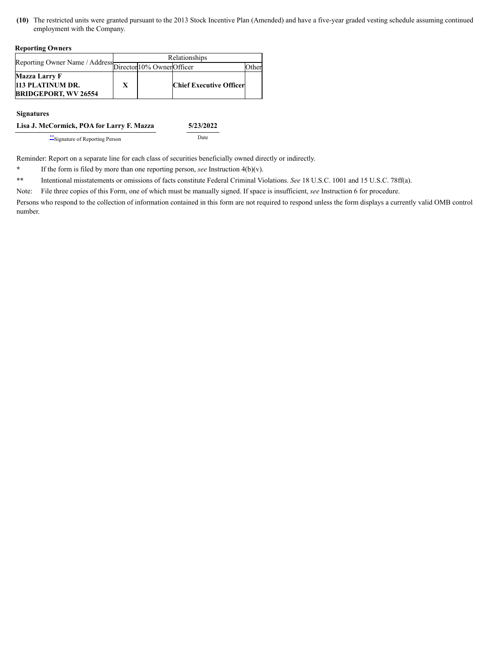<span id="page-2-1"></span>**(10)** The restricted units were granted pursuant to the 2013 Stock Incentive Plan (Amended) and have a five-year graded vesting schedule assuming continued employment with the Company.

#### **Reporting Owners**

|                                                           | Relationships |  |                                |       |  |  |  |  |
|-----------------------------------------------------------|---------------|--|--------------------------------|-------|--|--|--|--|
| Reporting Owner Name / Address Director 10% Owner Officer |               |  |                                | )ther |  |  |  |  |
| <b>Mazza Larry F</b>                                      |               |  |                                |       |  |  |  |  |
| 113 PLATINUM DR.                                          |               |  | <b>Chief Executive Officer</b> |       |  |  |  |  |
| <b>BRIDGEPORT, WV 26554</b>                               |               |  |                                |       |  |  |  |  |

**Signatures**

| Lisa J. McCormick, POA for Larry F. Mazza | 5/23/2022 |
|-------------------------------------------|-----------|
|                                           |           |

[\\*\\*](#page-2-2)Signature of Reporting Person Date

Reminder: Report on a separate line for each class of securities beneficially owned directly or indirectly.

<span id="page-2-0"></span>**\*** If the form is filed by more than one reporting person, *see* Instruction 4(b)(v).

<span id="page-2-2"></span>**\*\*** Intentional misstatements or omissions of facts constitute Federal Criminal Violations. *See* 18 U.S.C. 1001 and 15 U.S.C. 78ff(a).

Note: File three copies of this Form, one of which must be manually signed. If space is insufficient, *see* Instruction 6 for procedure.

Persons who respond to the collection of information contained in this form are not required to respond unless the form displays a currently valid OMB control number.